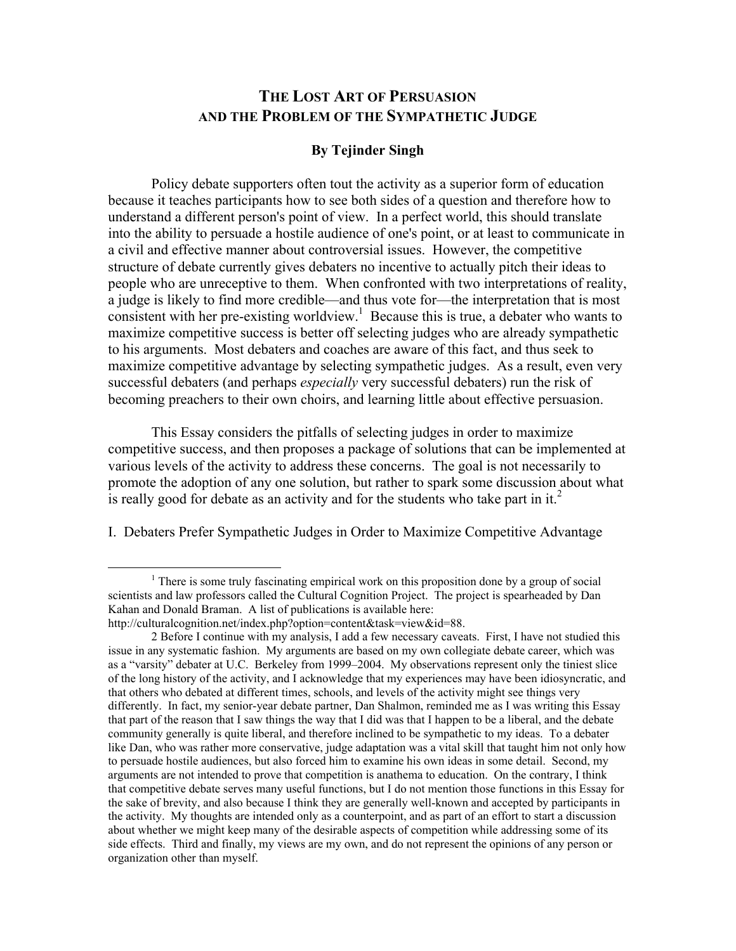## THE LOST ART OF PERSUASION AND THE PROBLEM OF THE SYMPATHETIC JUDGE

## By Tejinder Singh

Policy debate supporters often tout the activity as a superior form of education because it teaches participants how to see both sides of a question and therefore how to understand a different person's point of view. In a perfect world, this should translate into the ability to persuade a hostile audience of one's point, or at least to communicate in a civil and effective manner about controversial issues. However, the competitive structure of debate currently gives debaters no incentive to actually pitch their ideas to people who are unreceptive to them. When confronted with two interpretations of reality, a judge is likely to find more credible—and thus vote for—the interpretation that is most consistent with her pre-existing worldview.<sup>1</sup> Because this is true, a debater who wants to maximize competitive success is better off selecting judges who are already sympathetic to his arguments. Most debaters and coaches are aware of this fact, and thus seek to maximize competitive advantage by selecting sympathetic judges. As a result, even very successful debaters (and perhaps *especially* very successful debaters) run the risk of becoming preachers to their own choirs, and learning little about effective persuasion.

This Essay considers the pitfalls of selecting judges in order to maximize competitive success, and then proposes a package of solutions that can be implemented at various levels of the activity to address these concerns. The goal is not necessarily to promote the adoption of any one solution, but rather to spark some discussion about what is really good for debate as an activity and for the students who take part in it.<sup>2</sup>

I. Debaters Prefer Sympathetic Judges in Order to Maximize Competitive Advantage

<sup>&</sup>lt;u>1</u>  $1$ <sup>1</sup> There is some truly fascinating empirical work on this proposition done by a group of social scientists and law professors called the Cultural Cognition Project. The project is spearheaded by Dan Kahan and Donald Braman. A list of publications is available here: http://culturalcognition.net/index.php?option=content&task=view&id=88.

<sup>2</sup> Before I continue with my analysis, I add a few necessary caveats. First, I have not studied this issue in any systematic fashion. My arguments are based on my own collegiate debate career, which was as a "varsity" debater at U.C. Berkeley from 1999–2004. My observations represent only the tiniest slice of the long history of the activity, and I acknowledge that my experiences may have been idiosyncratic, and that others who debated at different times, schools, and levels of the activity might see things very differently. In fact, my senior-year debate partner, Dan Shalmon, reminded me as I was writing this Essay that part of the reason that I saw things the way that I did was that I happen to be a liberal, and the debate community generally is quite liberal, and therefore inclined to be sympathetic to my ideas. To a debater like Dan, who was rather more conservative, judge adaptation was a vital skill that taught him not only how to persuade hostile audiences, but also forced him to examine his own ideas in some detail. Second, my arguments are not intended to prove that competition is anathema to education. On the contrary, I think that competitive debate serves many useful functions, but I do not mention those functions in this Essay for the sake of brevity, and also because I think they are generally well-known and accepted by participants in the activity. My thoughts are intended only as a counterpoint, and as part of an effort to start a discussion about whether we might keep many of the desirable aspects of competition while addressing some of its side effects. Third and finally, my views are my own, and do not represent the opinions of any person or organization other than myself.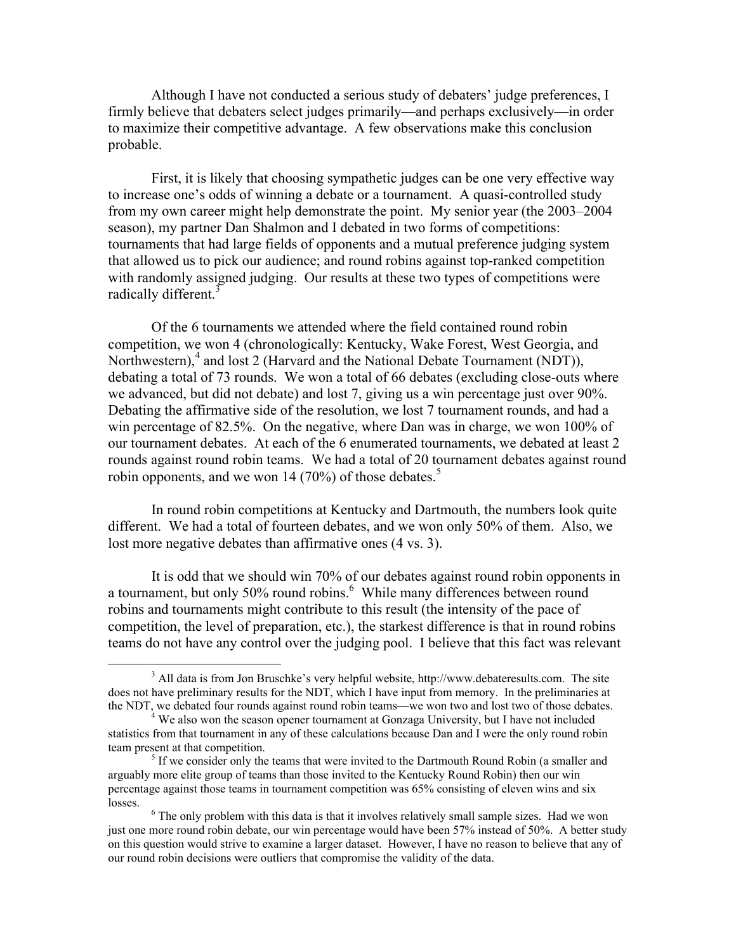Although I have not conducted a serious study of debaters' judge preferences, I firmly believe that debaters select judges primarily—and perhaps exclusively—in order to maximize their competitive advantage. A few observations make this conclusion probable.

First, it is likely that choosing sympathetic judges can be one very effective way to increase one's odds of winning a debate or a tournament. A quasi-controlled study from my own career might help demonstrate the point. My senior year (the 2003–2004 season), my partner Dan Shalmon and I debated in two forms of competitions: tournaments that had large fields of opponents and a mutual preference judging system that allowed us to pick our audience; and round robins against top-ranked competition with randomly assigned judging. Our results at these two types of competitions were radically different.<sup>3</sup>

Of the 6 tournaments we attended where the field contained round robin competition, we won 4 (chronologically: Kentucky, Wake Forest, West Georgia, and Northwestern),<sup>4</sup> and lost 2 (Harvard and the National Debate Tournament (NDT)), debating a total of 73 rounds. We won a total of 66 debates (excluding close-outs where we advanced, but did not debate) and lost 7, giving us a win percentage just over 90%. Debating the affirmative side of the resolution, we lost 7 tournament rounds, and had a win percentage of 82.5%. On the negative, where Dan was in charge, we won 100% of our tournament debates. At each of the 6 enumerated tournaments, we debated at least 2 rounds against round robin teams. We had a total of 20 tournament debates against round robin opponents, and we won 14 (70%) of those debates.<sup>5</sup>

In round robin competitions at Kentucky and Dartmouth, the numbers look quite different. We had a total of fourteen debates, and we won only 50% of them. Also, we lost more negative debates than affirmative ones (4 vs. 3).

It is odd that we should win 70% of our debates against round robin opponents in a tournament, but only 50% round robins.<sup>6</sup> While many differences between round robins and tournaments might contribute to this result (the intensity of the pace of competition, the level of preparation, etc.), the starkest difference is that in round robins teams do not have any control over the judging pool. I believe that this fact was relevant

 <sup>3</sup> <sup>3</sup> All data is from Jon Bruschke's very helpful website, http://www.debateresults.com. The site does not have preliminary results for the NDT, which I have input from memory. In the preliminaries at the NDT, we debated four rounds against round robin teams—we won two and lost two of those debates. <sup>4</sup>

 $4$  We also won the season opener tournament at Gonzaga University, but I have not included statistics from that tournament in any of these calculations because Dan and I were the only round robin team present at that competition.

 $<sup>5</sup>$  If we consider only the teams that were invited to the Dartmouth Round Robin (a smaller and</sup> arguably more elite group of teams than those invited to the Kentucky Round Robin) then our win percentage against those teams in tournament competition was 65% consisting of eleven wins and six losses.

 $6$  The only problem with this data is that it involves relatively small sample sizes. Had we won just one more round robin debate, our win percentage would have been 57% instead of 50%. A better study on this question would strive to examine a larger dataset. However, I have no reason to believe that any of our round robin decisions were outliers that compromise the validity of the data.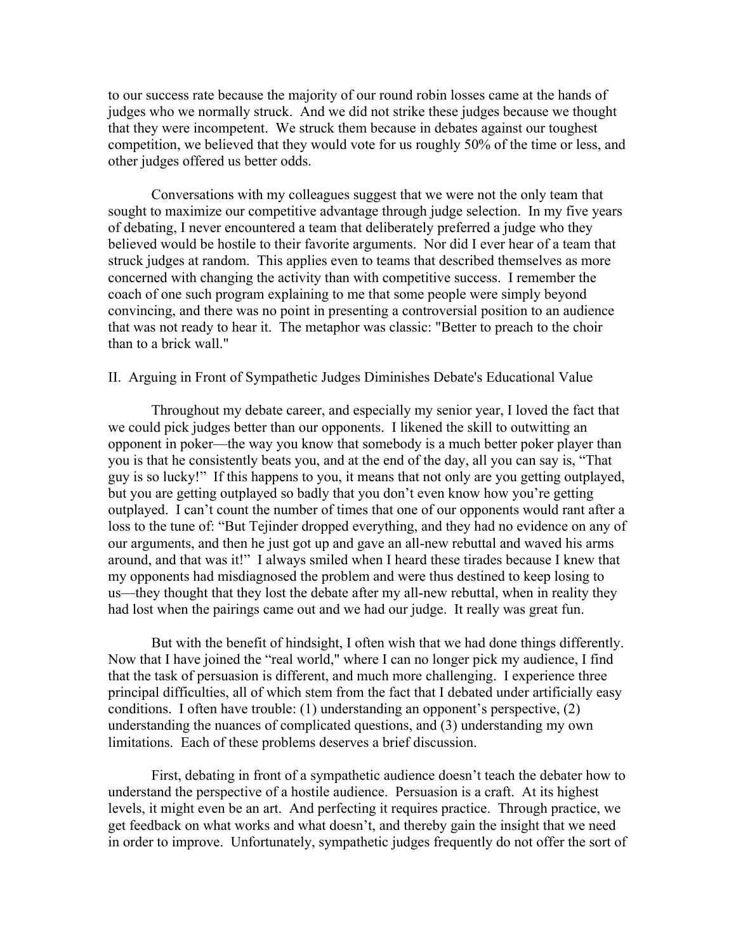to our success rate because the majority of our round robin losses came at the hands of judges who we normally struck. And we did not strike these judges because we thought that they were incompetent. We struck them because in debates against our toughest competition, we believed that they would vote for us roughly 50% of the time or less, and other judges offered us better odds.

Conversations with my colleagues suggest that we were not the only team that sought to maximize our competitive advantage through judge selection. In my five years of debating, I never encountered a team that deliberately preferred a judge who they believed would be hostile to their favorite arguments. Nor did I ever hear of a team that struck judges at random. This applies even to teams that described themselves as more concerned with changing the activity than with competitive success. I remember the coach of one such program explaining to me that some people were simply beyond convincing, and there was no point in presenting a controversial position to an audience that was not ready to hear it. The metaphor was classic: "Better to preach to the choir than to a brick wall."

## II. Arguing in Front of Sympathetic Judges Diminishes Debate's Educational Value

Throughout my debate career, and especially my senior year, I loved the fact that we could pick judges better than our opponents. I likened the skill to outwitting an opponent in poker—the way you know that somebody is a much better poker player than you is that he consistently beats you, and at the end of the day, all you can say is, "That guy is so lucky!" If this happens to you, it means that not only are you getting outplayed, but you are getting outplayed so badly that you don't even know how you're getting outplayed. I can't count the number of times that one of our opponents would rant after a loss to the tune of: "But Tejinder dropped everything, and they had no evidence on any of our arguments, and then he just got up and gave an all-new rebuttal and waved his arms around, and that was it!" I always smiled when I heard these tirades because I knew that my opponents had misdiagnosed the problem and were thus destined to keep losing to us—they thought that they lost the debate after my all-new rebuttal, when in reality they had lost when the pairings came out and we had our judge. It really was great fun.

But with the benefit of hindsight, I often wish that we had done things differently. Now that I have joined the "real world," where I can no longer pick my audience, I find that the task of persuasion is different, and much more challenging. I experience three principal difficulties, all of which stem from the fact that I debated under artificially easy conditions. I often have trouble: (1) understanding an opponent's perspective, (2) understanding the nuances of complicated questions, and (3) understanding my own limitations. Each of these problems deserves a brief discussion.

First, debating in front of a sympathetic audience doesn't teach the debater how to understand the perspective of a hostile audience. Persuasion is a craft. At its highest levels, it might even be an art. And perfecting it requires practice. Through practice, we get feedback on what works and what doesn't, and thereby gain the insight that we need in order to improve. Unfortunately, sympathetic judges frequently do not offer the sort of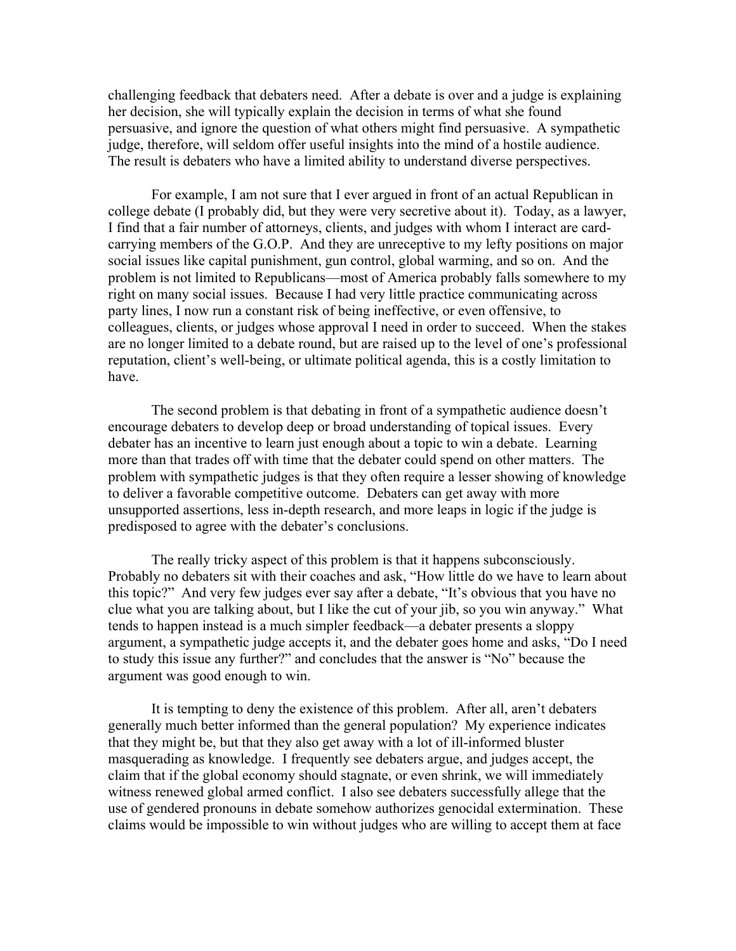challenging feedback that debaters need. After a debate is over and a judge is explaining her decision, she will typically explain the decision in terms of what she found persuasive, and ignore the question of what others might find persuasive. A sympathetic judge, therefore, will seldom offer useful insights into the mind of a hostile audience. The result is debaters who have a limited ability to understand diverse perspectives.

For example, I am not sure that I ever argued in front of an actual Republican in college debate (I probably did, but they were very secretive about it). Today, as a lawyer, I find that a fair number of attorneys, clients, and judges with whom I interact are cardcarrying members of the G.O.P. And they are unreceptive to my lefty positions on major social issues like capital punishment, gun control, global warming, and so on. And the problem is not limited to Republicans—most of America probably falls somewhere to my right on many social issues. Because I had very little practice communicating across party lines, I now run a constant risk of being ineffective, or even offensive, to colleagues, clients, or judges whose approval I need in order to succeed. When the stakes are no longer limited to a debate round, but are raised up to the level of one's professional reputation, client's well-being, or ultimate political agenda, this is a costly limitation to have.

The second problem is that debating in front of a sympathetic audience doesn't encourage debaters to develop deep or broad understanding of topical issues. Every debater has an incentive to learn just enough about a topic to win a debate. Learning more than that trades off with time that the debater could spend on other matters. The problem with sympathetic judges is that they often require a lesser showing of knowledge to deliver a favorable competitive outcome. Debaters can get away with more unsupported assertions, less in-depth research, and more leaps in logic if the judge is predisposed to agree with the debater's conclusions.

The really tricky aspect of this problem is that it happens subconsciously. Probably no debaters sit with their coaches and ask, "How little do we have to learn about this topic?" And very few judges ever say after a debate, "It's obvious that you have no clue what you are talking about, but I like the cut of your jib, so you win anyway." What tends to happen instead is a much simpler feedback—a debater presents a sloppy argument, a sympathetic judge accepts it, and the debater goes home and asks, "Do I need to study this issue any further?" and concludes that the answer is "No" because the argument was good enough to win.

It is tempting to deny the existence of this problem. After all, aren't debaters generally much better informed than the general population? My experience indicates that they might be, but that they also get away with a lot of ill-informed bluster masquerading as knowledge. I frequently see debaters argue, and judges accept, the claim that if the global economy should stagnate, or even shrink, we will immediately witness renewed global armed conflict. I also see debaters successfully allege that the use of gendered pronouns in debate somehow authorizes genocidal extermination. These claims would be impossible to win without judges who are willing to accept them at face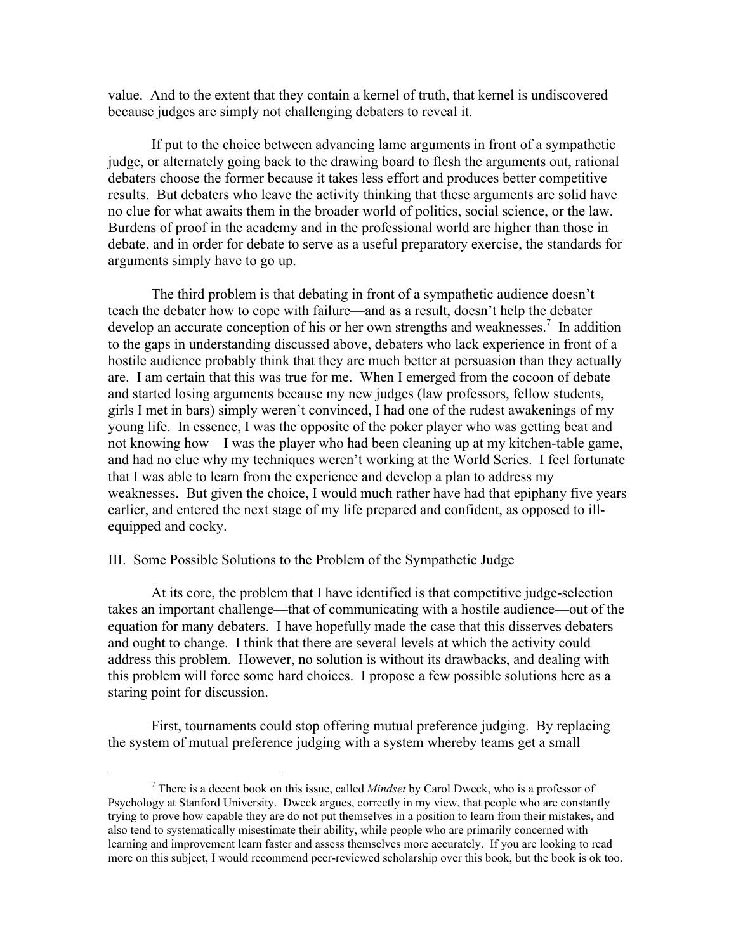value. And to the extent that they contain a kernel of truth, that kernel is undiscovered because judges are simply not challenging debaters to reveal it.

If put to the choice between advancing lame arguments in front of a sympathetic judge, or alternately going back to the drawing board to flesh the arguments out, rational debaters choose the former because it takes less effort and produces better competitive results. But debaters who leave the activity thinking that these arguments are solid have no clue for what awaits them in the broader world of politics, social science, or the law. Burdens of proof in the academy and in the professional world are higher than those in debate, and in order for debate to serve as a useful preparatory exercise, the standards for arguments simply have to go up.

The third problem is that debating in front of a sympathetic audience doesn't teach the debater how to cope with failure—and as a result, doesn't help the debater develop an accurate conception of his or her own strengths and weaknesses.<sup>7</sup> In addition to the gaps in understanding discussed above, debaters who lack experience in front of a hostile audience probably think that they are much better at persuasion than they actually are. I am certain that this was true for me. When I emerged from the cocoon of debate and started losing arguments because my new judges (law professors, fellow students, girls I met in bars) simply weren't convinced, I had one of the rudest awakenings of my young life. In essence, I was the opposite of the poker player who was getting beat and not knowing how—I was the player who had been cleaning up at my kitchen-table game, and had no clue why my techniques weren't working at the World Series. I feel fortunate that I was able to learn from the experience and develop a plan to address my weaknesses. But given the choice, I would much rather have had that epiphany five years earlier, and entered the next stage of my life prepared and confident, as opposed to illequipped and cocky.

## III. Some Possible Solutions to the Problem of the Sympathetic Judge

At its core, the problem that I have identified is that competitive judge-selection takes an important challenge—that of communicating with a hostile audience—out of the equation for many debaters. I have hopefully made the case that this disserves debaters and ought to change. I think that there are several levels at which the activity could address this problem. However, no solution is without its drawbacks, and dealing with this problem will force some hard choices. I propose a few possible solutions here as a staring point for discussion.

First, tournaments could stop offering mutual preference judging. By replacing the system of mutual preference judging with a system whereby teams get a small

 $\overline{\phantom{a}}$  There is a decent book on this issue, called *Mindset* by Carol Dweck, who is a professor of Psychology at Stanford University. Dweck argues, correctly in my view, that people who are constantly trying to prove how capable they are do not put themselves in a position to learn from their mistakes, and also tend to systematically misestimate their ability, while people who are primarily concerned with learning and improvement learn faster and assess themselves more accurately. If you are looking to read more on this subject, I would recommend peer-reviewed scholarship over this book, but the book is ok too.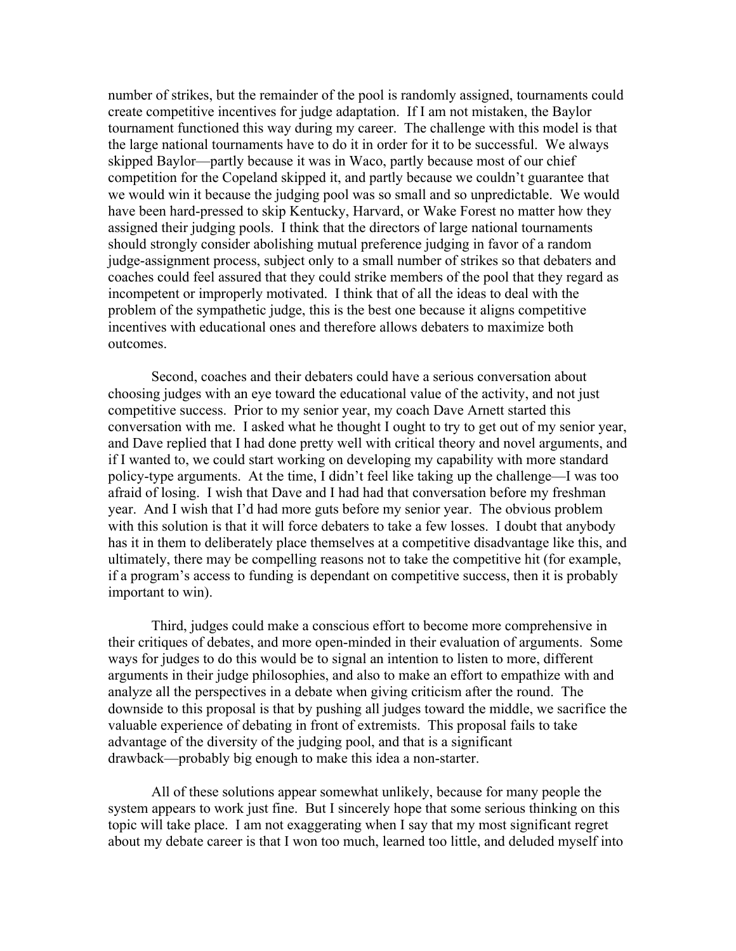number of strikes, but the remainder of the pool is randomly assigned, tournaments could create competitive incentives for judge adaptation. If I am not mistaken, the Baylor tournament functioned this way during my career. The challenge with this model is that the large national tournaments have to do it in order for it to be successful. We always skipped Baylor—partly because it was in Waco, partly because most of our chief competition for the Copeland skipped it, and partly because we couldn't guarantee that we would win it because the judging pool was so small and so unpredictable. We would have been hard-pressed to skip Kentucky, Harvard, or Wake Forest no matter how they assigned their judging pools. I think that the directors of large national tournaments should strongly consider abolishing mutual preference judging in favor of a random judge-assignment process, subject only to a small number of strikes so that debaters and coaches could feel assured that they could strike members of the pool that they regard as incompetent or improperly motivated. I think that of all the ideas to deal with the problem of the sympathetic judge, this is the best one because it aligns competitive incentives with educational ones and therefore allows debaters to maximize both outcomes.

Second, coaches and their debaters could have a serious conversation about choosing judges with an eye toward the educational value of the activity, and not just competitive success. Prior to my senior year, my coach Dave Arnett started this conversation with me. I asked what he thought I ought to try to get out of my senior year, and Dave replied that I had done pretty well with critical theory and novel arguments, and if I wanted to, we could start working on developing my capability with more standard policy-type arguments. At the time, I didn't feel like taking up the challenge—I was too afraid of losing. I wish that Dave and I had had that conversation before my freshman year. And I wish that I'd had more guts before my senior year. The obvious problem with this solution is that it will force debaters to take a few losses. I doubt that anybody has it in them to deliberately place themselves at a competitive disadvantage like this, and ultimately, there may be compelling reasons not to take the competitive hit (for example, if a program's access to funding is dependant on competitive success, then it is probably important to win).

Third, judges could make a conscious effort to become more comprehensive in their critiques of debates, and more open-minded in their evaluation of arguments. Some ways for judges to do this would be to signal an intention to listen to more, different arguments in their judge philosophies, and also to make an effort to empathize with and analyze all the perspectives in a debate when giving criticism after the round. The downside to this proposal is that by pushing all judges toward the middle, we sacrifice the valuable experience of debating in front of extremists. This proposal fails to take advantage of the diversity of the judging pool, and that is a significant drawback—probably big enough to make this idea a non-starter.

All of these solutions appear somewhat unlikely, because for many people the system appears to work just fine. But I sincerely hope that some serious thinking on this topic will take place. I am not exaggerating when I say that my most significant regret about my debate career is that I won too much, learned too little, and deluded myself into